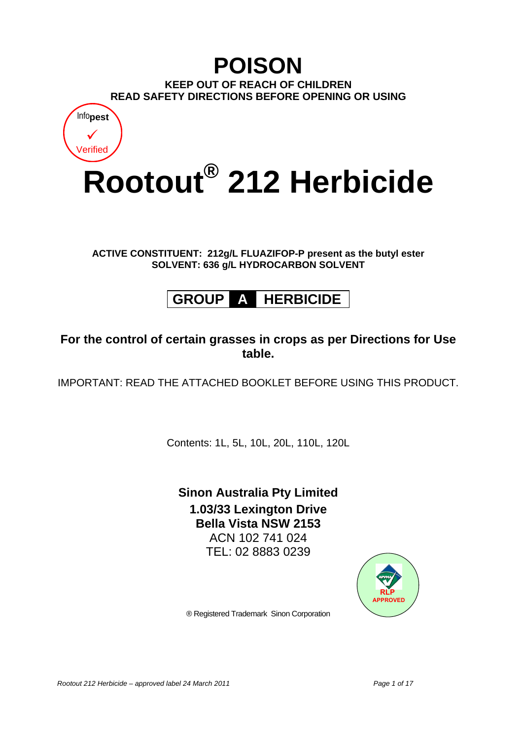## **POISON KEEP OUT OF REACH OF CHILDREN READ SAFETY DIRECTIONS BEFORE OPENING OR USING** Info**pest**



**ACTIVE CONSTITUENT: 212g/L FLUAZIFOP-P present as the butyl ester SOLVENT: 636 g/L HYDROCARBON SOLVENT** 

# **GROUP A HERBICIDE**

### **For the control of certain grasses in crops as per Directions for Use table.**

IMPORTANT: READ THE ATTACHED BOOKLET BEFORE USING THIS PRODUCT.

Contents: 1L, 5L, 10L, 20L, 110L, 120L

## **Sinon Australia Pty Limited 1.03/33 Lexington Drive Bella Vista NSW 2153**  ACN 102 741 024

TEL: 02 8883 0239



® Registered Trademark Sinon Corporation

Rootout 212 Herbicide – approved label 24 March 2011 **Page 1 of 17** Page 1 of 17

 $\checkmark$ Verified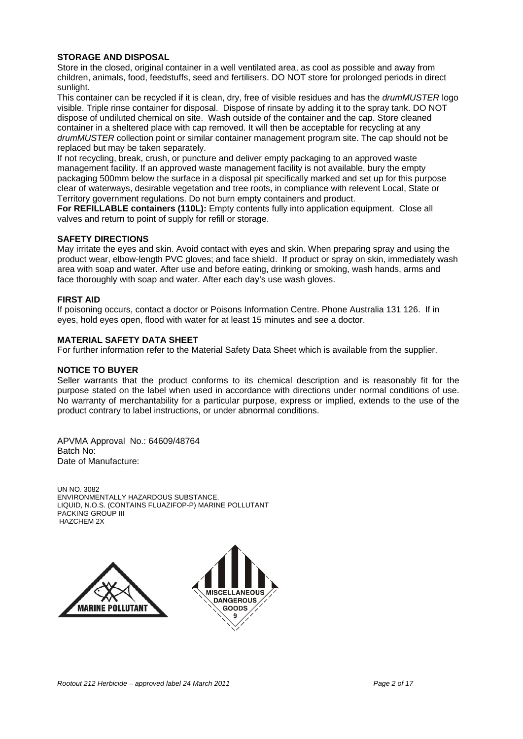#### **STORAGE AND DISPOSAL**

Store in the closed, original container in a well ventilated area, as cool as possible and away from children, animals, food, feedstuffs, seed and fertilisers. DO NOT store for prolonged periods in direct sunlight.

This container can be recycled if it is clean, dry, free of visible residues and has the *drumMUSTER* logo visible. Triple rinse container for disposal. Dispose of rinsate by adding it to the spray tank. DO NOT dispose of undiluted chemical on site. Wash outside of the container and the cap. Store cleaned container in a sheltered place with cap removed. It will then be acceptable for recycling at any *drumMUSTER* collection point or similar container management program site. The cap should not be replaced but may be taken separately.

If not recycling, break, crush, or puncture and deliver empty packaging to an approved waste management facility. If an approved waste management facility is not available, bury the empty packaging 500mm below the surface in a disposal pit specifically marked and set up for this purpose clear of waterways, desirable vegetation and tree roots, in compliance with relevent Local, State or Territory government regulations. Do not burn empty containers and product.

**For REFILLABLE containers (110L):** Empty contents fully into application equipment. Close all valves and return to point of supply for refill or storage.

#### **SAFETY DIRECTIONS**

May irritate the eyes and skin. Avoid contact with eyes and skin. When preparing spray and using the product wear, elbow-length PVC gloves; and face shield. If product or spray on skin, immediately wash area with soap and water. After use and before eating, drinking or smoking, wash hands, arms and face thoroughly with soap and water. After each day's use wash gloves.

#### **FIRST AID**

If poisoning occurs, contact a doctor or Poisons Information Centre. Phone Australia 131 126. If in eyes, hold eyes open, flood with water for at least 15 minutes and see a doctor.

#### **MATERIAL SAFETY DATA SHEET**

For further information refer to the Material Safety Data Sheet which is available from the supplier.

#### **NOTICE TO BUYER**

Seller warrants that the product conforms to its chemical description and is reasonably fit for the purpose stated on the label when used in accordance with directions under normal conditions of use. No warranty of merchantability for a particular purpose, express or implied, extends to the use of the product contrary to label instructions, or under abnormal conditions.

APVMA Approval No.: 64609/48764 Batch No: Date of Manufacture:

UN NO. 3082 ENVIRONMENTALLY HAZARDOUS SUBSTANCE, LIQUID, N.O.S. (CONTAINS FLUAZIFOP-P) MARINE POLLUTANT PACKING GROUP III HAZCHEM 2X



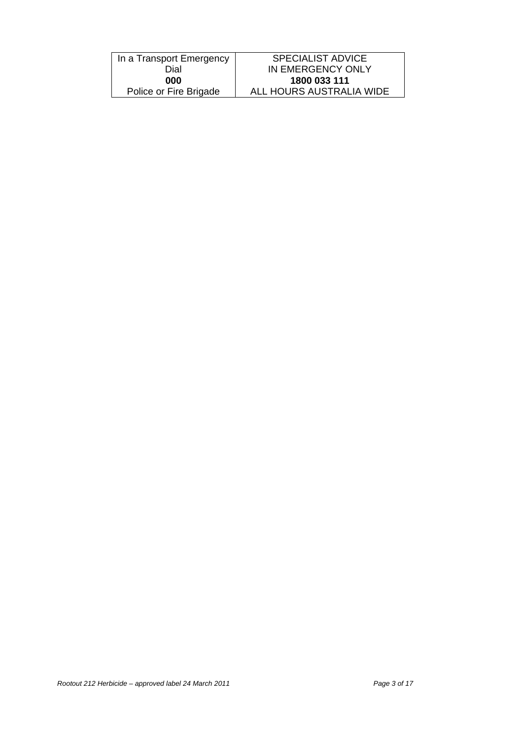| In a Transport Emergency | <b>SPECIALIST ADVICE</b> |
|--------------------------|--------------------------|
| Dial                     | IN EMERGENCY ONLY        |
| 000                      | 1800 033 111             |
| Police or Fire Brigade   | ALL HOURS AUSTRALIA WIDE |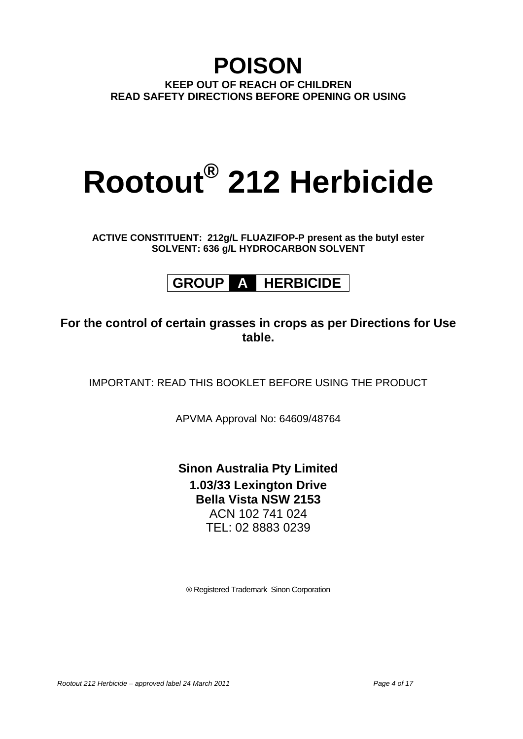## **POISON KEEP OUT OF REACH OF CHILDREN READ SAFETY DIRECTIONS BEFORE OPENING OR USING**

# **Rootout® 212 Herbicide**

**ACTIVE CONSTITUENT: 212g/L FLUAZIFOP-P present as the butyl ester SOLVENT: 636 g/L HYDROCARBON SOLVENT** 

# **GROUP A HERBICIDE**

## **For the control of certain grasses in crops as per Directions for Use table.**

IMPORTANT: READ THIS BOOKLET BEFORE USING THE PRODUCT

APVMA Approval No: 64609/48764

**Sinon Australia Pty Limited 1.03/33 Lexington Drive Bella Vista NSW 2153**  ACN 102 741 024 TEL: 02 8883 0239

® Registered Trademark Sinon Corporation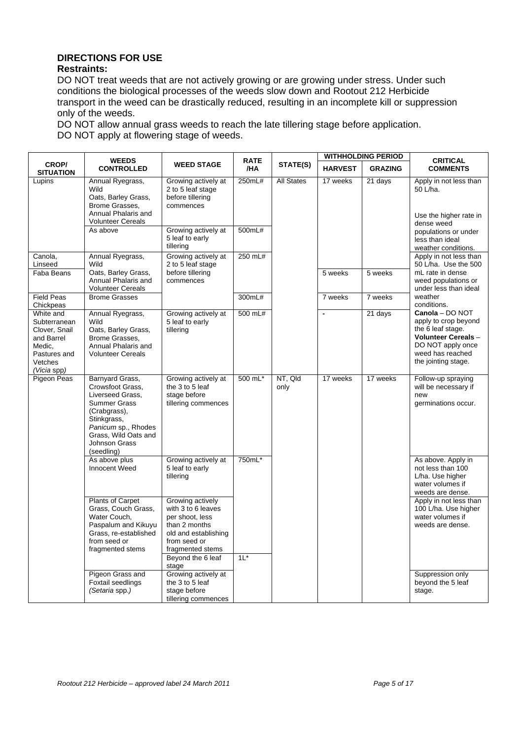#### **DIRECTIONS FOR USE Restraints:**

DO NOT treat weeds that are not actively growing or are growing under stress. Under such conditions the biological processes of the weeds slow down and Rootout 212 Herbicide transport in the weed can be drastically reduced, resulting in an incomplete kill or suppression only of the weeds.

DO NOT allow annual grass weeds to reach the late tillering stage before application. DO NOT apply at flowering stage of weeds.

|                                                                                                              | <b>WEEDS</b>                                                                                                                                                                                |                                                                                                                                        | <b>RATE</b>      |                   |                | <b>WITHHOLDING PERIOD</b> | <b>CRITICAL</b>                                                                                                                                            |
|--------------------------------------------------------------------------------------------------------------|---------------------------------------------------------------------------------------------------------------------------------------------------------------------------------------------|----------------------------------------------------------------------------------------------------------------------------------------|------------------|-------------------|----------------|---------------------------|------------------------------------------------------------------------------------------------------------------------------------------------------------|
| <b>CROP/</b><br><b>SITUATION</b>                                                                             | <b>CONTROLLED</b>                                                                                                                                                                           | <b>WEED STAGE</b>                                                                                                                      | /HA              | STATE(S)          | <b>HARVEST</b> | <b>GRAZING</b>            | <b>COMMENTS</b>                                                                                                                                            |
| Lupins                                                                                                       | Annual Ryegrass,<br>Wild<br>Oats, Barley Grass,<br>Brome Grasses,<br>Annual Phalaris and<br><b>Volunteer Cereals</b><br>As above                                                            | Growing actively at<br>2 to 5 leaf stage<br>before tillering<br>commences<br>Growing actively at<br>5 leaf to early                    | 250mL#<br>500mL# | <b>All States</b> | 17 weeks       | 21 days                   | Apply in not less than<br>50 L/ha.<br>Use the higher rate in<br>dense weed<br>populations or under<br>less than ideal                                      |
|                                                                                                              |                                                                                                                                                                                             | tillering                                                                                                                              |                  |                   |                |                           | weather conditions.                                                                                                                                        |
| Canola,<br>Linseed                                                                                           | Annual Ryegrass,<br>Wild                                                                                                                                                                    | Growing actively at<br>2 to 5 leaf stage                                                                                               | 250 mL#          |                   |                |                           | Apply in not less than<br>50 L/ha. Use the 500                                                                                                             |
| Faba Beans                                                                                                   | Oats, Barley Grass,<br>Annual Phalaris and<br><b>Volunteer Cereals</b>                                                                                                                      | before tillering<br>commences                                                                                                          |                  |                   | 5 weeks        | 5 weeks                   | mL rate in dense<br>weed populations or<br>under less than ideal                                                                                           |
| <b>Field Peas</b><br>Chickpeas                                                                               | <b>Brome Grasses</b>                                                                                                                                                                        |                                                                                                                                        | 300mL#           |                   | 7 weeks        | 7 weeks                   | weather<br>conditions.                                                                                                                                     |
| White and<br>Subterranean<br>Clover, Snail<br>and Barrel<br>Medic.<br>Pastures and<br>Vetches<br>(Vicia spp) | Annual Ryegrass,<br>Wild<br>Oats, Barley Grass,<br>Brome Grasses,<br>Annual Phalaris and<br><b>Volunteer Cereals</b>                                                                        | Growing actively at<br>5 leaf to early<br>tillering                                                                                    | 500 mL#          |                   | $\blacksquare$ | 21 days                   | Canola - DO NOT<br>apply to crop beyond<br>the 6 leaf stage.<br><b>Volunteer Cereals -</b><br>DO NOT apply once<br>weed has reached<br>the jointing stage. |
| Pigeon Peas                                                                                                  | Barnyard Grass,<br>Crowsfoot Grass,<br>Liverseed Grass,<br><b>Summer Grass</b><br>(Crabgrass),<br>Stinkgrass,<br>Panicum sp., Rhodes<br>Grass, Wild Oats and<br>Johnson Grass<br>(seedling) | Growing actively at<br>the 3 to 5 leaf<br>stage before<br>tillering commences                                                          | 500 mL*          | NT, Qld<br>only   | 17 weeks       | 17 weeks                  | Follow-up spraying<br>will be necessary if<br>new<br>germinations occur.                                                                                   |
|                                                                                                              | As above plus<br><b>Innocent Weed</b>                                                                                                                                                       | Growing actively at<br>5 leaf to early<br>tillering                                                                                    | 750mL*           |                   |                |                           | As above. Apply in<br>not less than 100<br>L/ha. Use higher<br>water volumes if<br>weeds are dense.                                                        |
|                                                                                                              | Plants of Carpet<br>Grass, Couch Grass,<br>Water Couch,<br>Paspalum and Kikuyu<br>Grass, re-established<br>from seed or<br>fragmented stems                                                 | Growing actively<br>with 3 to 6 leaves<br>per shoot, less<br>than 2 months<br>old and establishing<br>from seed or<br>fragmented stems |                  |                   |                |                           | Apply in not less than<br>100 L/ha. Use higher<br>water volumes if<br>weeds are dense.                                                                     |
|                                                                                                              |                                                                                                                                                                                             | Beyond the 6 leaf<br>stage                                                                                                             | $1L^*$           |                   |                |                           |                                                                                                                                                            |
|                                                                                                              | Pigeon Grass and<br>Foxtail seedlings<br>(Setaria spp.)                                                                                                                                     | Growing actively at<br>the 3 to 5 leaf<br>stage before<br>tillering commences                                                          |                  |                   |                |                           | Suppression only<br>beyond the 5 leaf<br>stage.                                                                                                            |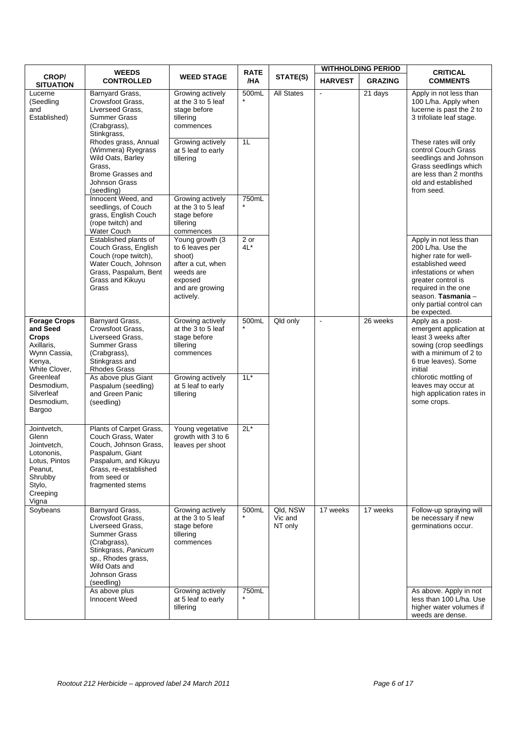|                                                                                                                                                                           | <b>WEEDS</b>                                                                                                                                                                                |                                                                                                                            | <b>RATE</b>    |                                |                      | <b>WITHHOLDING PERIOD</b> | <b>CRITICAL</b>                                                                                                                                                                                                                 |
|---------------------------------------------------------------------------------------------------------------------------------------------------------------------------|---------------------------------------------------------------------------------------------------------------------------------------------------------------------------------------------|----------------------------------------------------------------------------------------------------------------------------|----------------|--------------------------------|----------------------|---------------------------|---------------------------------------------------------------------------------------------------------------------------------------------------------------------------------------------------------------------------------|
| CROP/<br><b>SITUATION</b>                                                                                                                                                 | <b>CONTROLLED</b>                                                                                                                                                                           | <b>WEED STAGE</b>                                                                                                          | /HA            | STATE(S)                       | <b>HARVEST</b>       | <b>GRAZING</b>            | <b>COMMENTS</b>                                                                                                                                                                                                                 |
| Lucerne<br>(Seedling<br>and<br>Established)                                                                                                                               | Barnyard Grass,<br>Crowsfoot Grass,<br>Liverseed Grass,<br>Summer Grass<br>(Crabgrass),<br>Stinkgrass,                                                                                      | Growing actively<br>at the 3 to 5 leaf<br>stage before<br>tillering<br>commences                                           | 500mL          | <b>All States</b>              | $\overline{a}$       | 21 days                   | Apply in not less than<br>100 L/ha. Apply when<br>lucerne is past the 2 to<br>3 trifoliate leaf stage.                                                                                                                          |
|                                                                                                                                                                           | Rhodes grass, Annual<br>(Wimmera) Ryegrass<br>Wild Oats, Barley<br>Grass,<br><b>Brome Grasses and</b><br>Johnson Grass<br>(seedling)                                                        | Growing actively<br>at 5 leaf to early<br>tillering                                                                        | 1L             |                                |                      |                           | These rates will only<br>control Couch Grass<br>seedlings and Johnson<br>Grass seedlings which<br>are less than 2 months<br>old and established<br>from seed.                                                                   |
|                                                                                                                                                                           | Innocent Weed, and<br>seedlings, of Couch<br>grass, English Couch<br>(rope twitch) and<br><b>Water Couch</b>                                                                                | Growing actively<br>at the 3 to 5 leaf<br>stage before<br>tillering<br>commences                                           | 750mL          |                                |                      |                           |                                                                                                                                                                                                                                 |
|                                                                                                                                                                           | Established plants of<br>Couch Grass, English<br>Couch (rope twitch),<br>Water Couch, Johnson<br>Grass, Paspalum, Bent<br>Grass and Kikuyu<br>Grass                                         | Young growth (3)<br>to 6 leaves per<br>shoot)<br>after a cut, when<br>weeds are<br>exposed<br>and are growing<br>actively. | 2 or<br>$4L^*$ |                                |                      |                           | Apply in not less than<br>200 L/ha. Use the<br>higher rate for well-<br>established weed<br>infestations or when<br>greater control is<br>required in the one<br>season. Tasmania -<br>only partial control can<br>be expected. |
| <b>Forage Crops</b><br>and Seed<br><b>Crops</b><br>Axillaris,<br>Wynn Cassia,<br>Kenya,<br>White Clover,<br>Greenleaf<br>Desmodium,<br>Silverleaf<br>Desmodium,<br>Bargoo | Barnyard Grass,<br>Crowsfoot Grass,<br>Liverseed Grass,<br>Summer Grass<br>(Crabgrass),<br>Stinkgrass and<br><b>Rhodes Grass</b>                                                            | Growing actively<br>at the 3 to 5 leaf<br>stage before<br>tillering<br>commences                                           | 500mL          | Qld only                       | $\ddot{\phantom{a}}$ | 26 weeks                  | Apply as a post-<br>emergent application at<br>least 3 weeks after<br>sowing (crop seedlings<br>with a minimum of 2 to<br>6 true leaves). Some<br>initial                                                                       |
|                                                                                                                                                                           | As above plus Giant<br>Paspalum (seedling)<br>and Green Panic<br>(seedling)                                                                                                                 | Growing actively<br>at 5 leaf to early<br>tillering                                                                        | $1L^*$         |                                |                      |                           | chlorotic mottling of<br>leaves may occur at<br>high application rates in<br>some crops.                                                                                                                                        |
| Jointvetch,<br>Glenn<br>Jointvetch.<br>Lotononis,<br>Lotus, Pintos<br>Peanut,<br>Shrubby<br>Stylo,<br>Creeping<br>Vigna                                                   | Plants of Carpet Grass,<br>Couch Grass, Water<br>Couch, Johnson Grass,<br>Paspalum, Giant<br>Paspalum, and Kikuyu<br>Grass, re-established<br>from seed or<br>fragmented stems              | Young vegetative<br>growth with 3 to 6<br>leaves per shoot                                                                 | $2L^*$         |                                |                      |                           |                                                                                                                                                                                                                                 |
| Soybeans                                                                                                                                                                  | Barnyard Grass,<br>Crowsfoot Grass,<br>Liverseed Grass,<br><b>Summer Grass</b><br>(Crabgrass),<br>Stinkgrass, Panicum<br>sp., Rhodes grass,<br>Wild Oats and<br>Johnson Grass<br>(seedling) | Growing actively<br>at the 3 to 5 leaf<br>stage before<br>tillering<br>commences                                           | 500mL          | Qld, NSW<br>Vic and<br>NT only | 17 weeks             | 17 weeks                  | Follow-up spraying will<br>be necessary if new<br>germinations occur.                                                                                                                                                           |
|                                                                                                                                                                           | As above plus<br>Innocent Weed                                                                                                                                                              | Growing actively<br>at 5 leaf to early<br>tillering                                                                        | 750mL          |                                |                      |                           | As above. Apply in not<br>less than 100 L/ha. Use<br>higher water volumes if<br>weeds are dense.                                                                                                                                |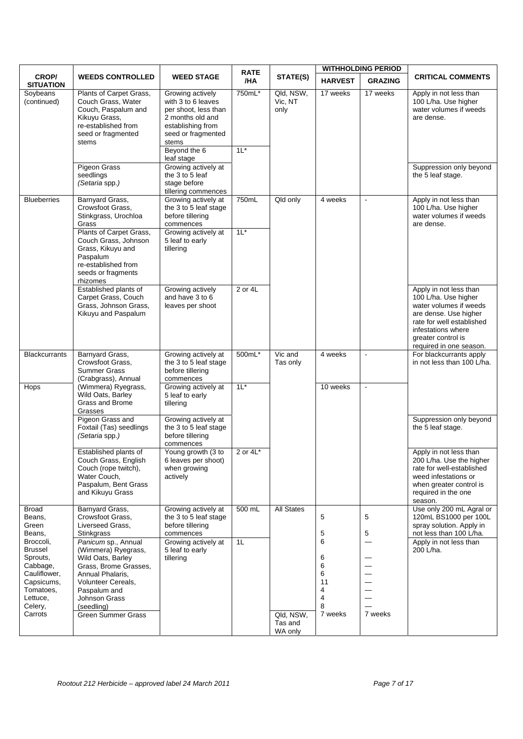|                                                                                                                           |                                                                                                                                                                                                                |                                                                                                                                                                                                                | <b>RATE</b>      |                                 |                                                                        | <b>WITHHOLDING PERIOD</b> |                                                                                                                                                                                                       |
|---------------------------------------------------------------------------------------------------------------------------|----------------------------------------------------------------------------------------------------------------------------------------------------------------------------------------------------------------|----------------------------------------------------------------------------------------------------------------------------------------------------------------------------------------------------------------|------------------|---------------------------------|------------------------------------------------------------------------|---------------------------|-------------------------------------------------------------------------------------------------------------------------------------------------------------------------------------------------------|
| CROP/<br><b>SITUATION</b>                                                                                                 | <b>WEEDS CONTROLLED</b>                                                                                                                                                                                        | <b>WEED STAGE</b>                                                                                                                                                                                              | /HA              | STATE(S)                        | <b>HARVEST</b>                                                         | <b>GRAZING</b>            | <b>CRITICAL COMMENTS</b>                                                                                                                                                                              |
| Soybeans<br>(continued)                                                                                                   | Plants of Carpet Grass,<br>Couch Grass, Water<br>Couch, Paspalum and<br>Kikuyu Grass,<br>re-established from<br>seed or fragmented<br>stems<br><b>Pigeon Grass</b><br>seedlings                                | Growing actively<br>with 3 to 6 leaves<br>per shoot, less than<br>2 months old and<br>establishing from<br>seed or fragmented<br>stems<br>Beyond the 6<br>leaf stage<br>Growing actively at<br>the 3 to 5 leaf | 750mL*<br>$1L^*$ | Qld, NSW,<br>Vic, NT<br>only    | 17 weeks                                                               | 17 weeks                  | Apply in not less than<br>100 L/ha. Use higher<br>water volumes if weeds<br>are dense.<br>Suppression only beyond<br>the 5 leaf stage.                                                                |
|                                                                                                                           | (Setaria spp.)                                                                                                                                                                                                 | stage before<br>tillering commences                                                                                                                                                                            |                  |                                 |                                                                        |                           |                                                                                                                                                                                                       |
| <b>Blueberries</b>                                                                                                        | Barnyard Grass,<br>Crowsfoot Grass,<br>Stinkgrass, Urochloa<br>Grass                                                                                                                                           | Growing actively at<br>the 3 to 5 leaf stage<br>before tillering<br>commences                                                                                                                                  | 750mL            | Qld only                        | 4 weeks                                                                | $\blacksquare$            | Apply in not less than<br>100 L/ha. Use higher<br>water volumes if weeds<br>are dense.                                                                                                                |
|                                                                                                                           | Plants of Carpet Grass,<br>Couch Grass, Johnson<br>Grass, Kikuyu and<br>Paspalum<br>re-established from<br>seeds or fragments<br>rhizomes                                                                      | Growing actively at<br>5 leaf to early<br>tillering                                                                                                                                                            | $1L^*$           |                                 |                                                                        |                           |                                                                                                                                                                                                       |
|                                                                                                                           | Established plants of<br>Carpet Grass, Couch<br>Grass, Johnson Grass,<br>Kikuyu and Paspalum                                                                                                                   | Growing actively<br>and have 3 to 6<br>leaves per shoot                                                                                                                                                        | 2 or 4L          |                                 |                                                                        |                           | Apply in not less than<br>100 L/ha. Use higher<br>water volumes if weeds<br>are dense. Use higher<br>rate for well established<br>infestations where<br>greater control is<br>required in one season. |
| <b>Blackcurrants</b>                                                                                                      | Barnyard Grass,<br>Crowsfoot Grass,<br><b>Summer Grass</b><br>(Crabgrass), Annual                                                                                                                              | Growing actively at<br>the 3 to 5 leaf stage<br>before tillering<br>commences                                                                                                                                  | 500mL*           | Vic and<br>Tas only             | 4 weeks                                                                | $\blacksquare$            | For blackcurrants apply<br>in not less than 100 L/ha.                                                                                                                                                 |
| Hops                                                                                                                      | (Wimmera) Ryegrass,<br>Wild Oats, Barley<br>Grass and Brome<br>Grasses                                                                                                                                         | Growing actively at<br>5 leaf to early<br>tillering                                                                                                                                                            | $1L^*$           |                                 | 10 weeks                                                               | $\blacksquare$            |                                                                                                                                                                                                       |
|                                                                                                                           | Pigeon Grass and<br>Foxtail (Tas) seedlings<br>(Setaria spp.)                                                                                                                                                  | Growing actively at<br>the 3 to 5 leaf stage<br>before tillering<br>commences                                                                                                                                  |                  |                                 |                                                                        |                           | Suppression only beyond<br>the 5 leaf stage.                                                                                                                                                          |
|                                                                                                                           | Established plants of<br>Couch Grass, English<br>Couch (rope twitch),<br>Water Couch,<br>Paspalum, Bent Grass<br>and Kikuyu Grass                                                                              | Young growth $\overline{3}$ to<br>6 leaves per shoot)<br>when growing<br>actively                                                                                                                              | 2 or $4L^*$      |                                 |                                                                        |                           | Apply in not less than<br>200 L/ha. Use the higher<br>rate for well-established<br>weed infestations or<br>when greater control is<br>required in the one<br>season.                                  |
| Broad<br>Beans,<br>Green<br>Beans,                                                                                        | Barnyard Grass,<br>Crowsfoot Grass.<br>Liverseed Grass,<br><b>Stinkgrass</b>                                                                                                                                   | Growing actively at<br>the 3 to 5 leaf stage<br>before tillering<br>commences                                                                                                                                  | $500$ mL         | <b>All States</b>               | 5<br>5                                                                 | 5<br>5                    | Use only 200 mL Agral or<br>120mL BS1000 per 100L<br>spray solution. Apply in<br>not less than 100 L/ha.                                                                                              |
| Broccoli,<br>Brussel<br>Sprouts,<br>Cabbage,<br>Cauliflower,<br>Capsicums,<br>Tomatoes,<br>Lettuce,<br>Celery,<br>Carrots | Panicum sp., Annual<br>(Wimmera) Ryegrass,<br>Wild Oats, Barley<br>Grass, Brome Grasses,<br>Annual Phalaris,<br>Volunteer Cereals,<br>Paspalum and<br>Johnson Grass<br>(seedling)<br><b>Green Summer Grass</b> | Growing actively at<br>5 leaf to early<br>tillering                                                                                                                                                            | 1L               | Qld, NSW,<br>Tas and<br>WA only | 6<br>6<br>6<br>6<br>11<br>4<br>$\overline{\mathbf{4}}$<br>8<br>7 weeks | 7 weeks                   | Apply in not less than<br>200 L/ha.                                                                                                                                                                   |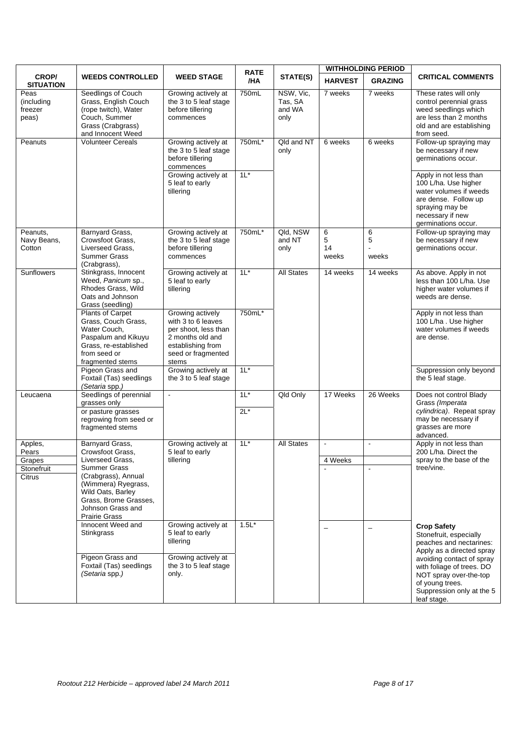| <b>WEEDS CONTROLLED</b><br><b>WEED STAGE</b><br><b>HARVEST</b><br><b>GRAZING</b><br>/HA<br><b>SITUATION</b><br>NSW, Vic,<br>Seedlings of Couch<br>750mL<br>Peas<br>Growing actively at<br>7 weeks<br>7 weeks<br>Grass, English Couch<br>the 3 to 5 leaf stage<br>Tas, SA<br>(including<br>(rope twitch), Water<br>before tillering<br>and WA<br>freezer<br>Couch, Summer<br>only<br>peas)<br>commences<br>Grass (Crabgrass)<br>and Innocent Weed<br>from seed.<br><b>Volunteer Cereals</b><br>Growing actively at<br>750mL*<br>Qld and NT<br>6 weeks<br>6 weeks<br>Peanuts<br>the 3 to 5 leaf stage<br>only<br>before tillering<br>commences<br>$1L^*$<br>Growing actively at<br>5 leaf to early<br>tillering<br>spraying may be<br>necessary if new<br>Qld, NSW<br>Barnyard Grass,<br>Growing actively at<br>750mL*<br>6<br>6<br>Peanuts,<br>5<br>5<br>Navy Beans,<br>Crowsfoot Grass,<br>the 3 to 5 leaf stage<br>and NT<br>Cotton<br>before tillering<br>Liverseed Grass.<br>14<br>only<br>Summer Grass<br>commences<br>weeks<br>weeks<br>(Crabgrass),<br>$1L^*$<br>Stinkgrass, Innocent<br><b>All States</b><br><b>Sunflowers</b><br>Growing actively at<br>14 weeks<br>14 weeks<br>Weed, Panicum sp.,<br>5 leaf to early<br>Rhodes Grass, Wild<br>tillering<br>Oats and Johnson<br>Grass (seedling)<br>750mL*<br>Plants of Carpet<br>Growing actively<br>Grass, Couch Grass,<br>with 3 to 6 leaves<br>Water Couch,<br>per shoot, less than<br>Paspalum and Kikuyu<br>2 months old and<br>are dense.<br>Grass, re-established<br>establishing from<br>from seed or<br>seed or fragmented<br>stems<br>fragmented stems<br>Growing actively at<br>$1L^*$<br>Pigeon Grass and<br>Foxtail (Tas) seedlings<br>the 3 to 5 leaf stage<br>the 5 leaf stage.<br>(Setaria spp.)<br>Seedlings of perennial<br>$1L^*$<br>Qld Only<br>17 Weeks<br>26 Weeks<br>$\blacksquare$<br>Leucaena<br>grasses only<br>Grass (Imperata<br>$2L^*$<br>or pasture grasses |       |                        | <b>RATE</b> |          | <b>WITHHOLDING PERIOD</b> |                                                                                                                                                                                                 |  |
|----------------------------------------------------------------------------------------------------------------------------------------------------------------------------------------------------------------------------------------------------------------------------------------------------------------------------------------------------------------------------------------------------------------------------------------------------------------------------------------------------------------------------------------------------------------------------------------------------------------------------------------------------------------------------------------------------------------------------------------------------------------------------------------------------------------------------------------------------------------------------------------------------------------------------------------------------------------------------------------------------------------------------------------------------------------------------------------------------------------------------------------------------------------------------------------------------------------------------------------------------------------------------------------------------------------------------------------------------------------------------------------------------------------------------------------------------------------------------------------------------------------------------------------------------------------------------------------------------------------------------------------------------------------------------------------------------------------------------------------------------------------------------------------------------------------------------------------------------------------------------------------------------------------------------------------------------|-------|------------------------|-------------|----------|---------------------------|-------------------------------------------------------------------------------------------------------------------------------------------------------------------------------------------------|--|
|                                                                                                                                                                                                                                                                                                                                                                                                                                                                                                                                                                                                                                                                                                                                                                                                                                                                                                                                                                                                                                                                                                                                                                                                                                                                                                                                                                                                                                                                                                                                                                                                                                                                                                                                                                                                                                                                                                                                                    | CROP/ |                        |             | STATE(S) |                           | <b>CRITICAL COMMENTS</b>                                                                                                                                                                        |  |
|                                                                                                                                                                                                                                                                                                                                                                                                                                                                                                                                                                                                                                                                                                                                                                                                                                                                                                                                                                                                                                                                                                                                                                                                                                                                                                                                                                                                                                                                                                                                                                                                                                                                                                                                                                                                                                                                                                                                                    |       |                        |             |          |                           | These rates will only<br>control perennial grass<br>weed seedlings which<br>are less than 2 months<br>old and are establishing                                                                  |  |
|                                                                                                                                                                                                                                                                                                                                                                                                                                                                                                                                                                                                                                                                                                                                                                                                                                                                                                                                                                                                                                                                                                                                                                                                                                                                                                                                                                                                                                                                                                                                                                                                                                                                                                                                                                                                                                                                                                                                                    |       |                        |             |          |                           | Follow-up spraying may<br>be necessary if new<br>germinations occur.                                                                                                                            |  |
|                                                                                                                                                                                                                                                                                                                                                                                                                                                                                                                                                                                                                                                                                                                                                                                                                                                                                                                                                                                                                                                                                                                                                                                                                                                                                                                                                                                                                                                                                                                                                                                                                                                                                                                                                                                                                                                                                                                                                    |       |                        |             |          |                           | Apply in not less than<br>100 L/ha. Use higher<br>water volumes if weeds<br>are dense. Follow up<br>germinations occur.                                                                         |  |
|                                                                                                                                                                                                                                                                                                                                                                                                                                                                                                                                                                                                                                                                                                                                                                                                                                                                                                                                                                                                                                                                                                                                                                                                                                                                                                                                                                                                                                                                                                                                                                                                                                                                                                                                                                                                                                                                                                                                                    |       |                        |             |          |                           | Follow-up spraying may<br>be necessary if new<br>germinations occur.                                                                                                                            |  |
|                                                                                                                                                                                                                                                                                                                                                                                                                                                                                                                                                                                                                                                                                                                                                                                                                                                                                                                                                                                                                                                                                                                                                                                                                                                                                                                                                                                                                                                                                                                                                                                                                                                                                                                                                                                                                                                                                                                                                    |       |                        |             |          |                           | As above. Apply in not<br>less than 100 L/ha. Use<br>higher water volumes if<br>weeds are dense.                                                                                                |  |
|                                                                                                                                                                                                                                                                                                                                                                                                                                                                                                                                                                                                                                                                                                                                                                                                                                                                                                                                                                                                                                                                                                                                                                                                                                                                                                                                                                                                                                                                                                                                                                                                                                                                                                                                                                                                                                                                                                                                                    |       |                        |             |          |                           | Apply in not less than<br>100 L/ha. Use higher<br>water volumes if weeds                                                                                                                        |  |
|                                                                                                                                                                                                                                                                                                                                                                                                                                                                                                                                                                                                                                                                                                                                                                                                                                                                                                                                                                                                                                                                                                                                                                                                                                                                                                                                                                                                                                                                                                                                                                                                                                                                                                                                                                                                                                                                                                                                                    |       |                        |             |          |                           | Suppression only beyond                                                                                                                                                                         |  |
| fragmented stems<br>advanced.                                                                                                                                                                                                                                                                                                                                                                                                                                                                                                                                                                                                                                                                                                                                                                                                                                                                                                                                                                                                                                                                                                                                                                                                                                                                                                                                                                                                                                                                                                                                                                                                                                                                                                                                                                                                                                                                                                                      |       | regrowing from seed or |             |          |                           | Does not control Blady<br>cylindrica). Repeat spray<br>may be necessary if<br>grasses are more                                                                                                  |  |
| Barnyard Grass,<br>$1L^*$<br><b>All States</b><br>Growing actively at<br>Apples,<br>$\blacksquare$<br>$\blacksquare$<br>5 leaf to early<br>Pears<br>Crowsfoot Grass,                                                                                                                                                                                                                                                                                                                                                                                                                                                                                                                                                                                                                                                                                                                                                                                                                                                                                                                                                                                                                                                                                                                                                                                                                                                                                                                                                                                                                                                                                                                                                                                                                                                                                                                                                                               |       |                        |             |          |                           | Apply in not less than<br>200 L/ha. Direct the                                                                                                                                                  |  |
| 4 Weeks<br>Liverseed Grass,<br>tillering<br>Grapes                                                                                                                                                                                                                                                                                                                                                                                                                                                                                                                                                                                                                                                                                                                                                                                                                                                                                                                                                                                                                                                                                                                                                                                                                                                                                                                                                                                                                                                                                                                                                                                                                                                                                                                                                                                                                                                                                                 |       |                        |             |          |                           | spray to the base of the                                                                                                                                                                        |  |
| Summer Grass<br>tree/vine.<br>Stonefruit<br>$\blacksquare$<br>$\blacksquare$<br>(Crabgrass), Annual<br>Citrus<br>(Wimmera) Ryegrass,<br>Wild Oats, Barley<br>Grass, Brome Grasses,<br>Johnson Grass and<br><b>Prairie Grass</b>                                                                                                                                                                                                                                                                                                                                                                                                                                                                                                                                                                                                                                                                                                                                                                                                                                                                                                                                                                                                                                                                                                                                                                                                                                                                                                                                                                                                                                                                                                                                                                                                                                                                                                                    |       |                        |             |          |                           |                                                                                                                                                                                                 |  |
| Innocent Weed and<br>$1.5L^*$<br>Growing actively at<br><b>Crop Safety</b><br>$\overline{\phantom{m}}$<br>$\overline{\phantom{0}}$<br>Stinkgrass<br>5 leaf to early<br>tillering<br>Pigeon Grass and<br>Growing actively at<br>Foxtail (Tas) seedlings<br>the 3 to 5 leaf stage<br>(Setaria spp.)<br>only.<br>of young trees.<br>leaf stage.                                                                                                                                                                                                                                                                                                                                                                                                                                                                                                                                                                                                                                                                                                                                                                                                                                                                                                                                                                                                                                                                                                                                                                                                                                                                                                                                                                                                                                                                                                                                                                                                       |       |                        |             |          |                           | Stonefruit, especially<br>peaches and nectarines:<br>Apply as a directed spray<br>avoiding contact of spray<br>with foliage of trees. DO<br>NOT spray over-the-top<br>Suppression only at the 5 |  |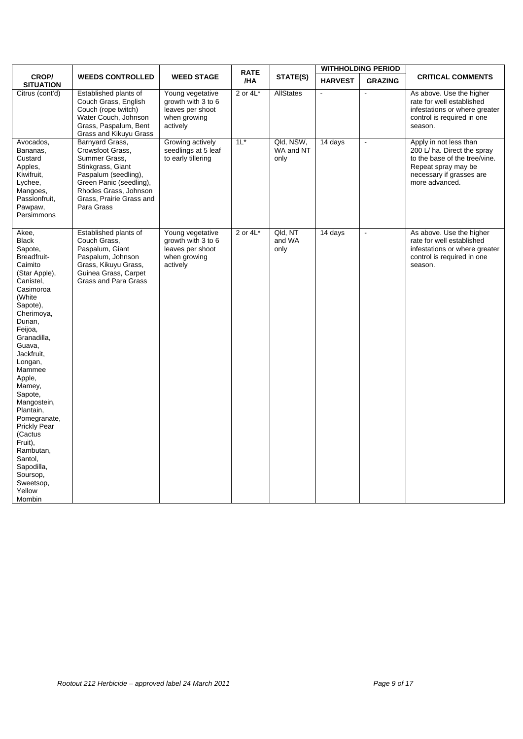|                                                                                                                                                                                                                                                                                                                                                                                                                                 |                                                                                                                                                                                                 | <b>RATE</b>                                                                            |             | <b>WITHHOLDING PERIOD</b>      |                |                          |                                                                                                                                                             |
|---------------------------------------------------------------------------------------------------------------------------------------------------------------------------------------------------------------------------------------------------------------------------------------------------------------------------------------------------------------------------------------------------------------------------------|-------------------------------------------------------------------------------------------------------------------------------------------------------------------------------------------------|----------------------------------------------------------------------------------------|-------------|--------------------------------|----------------|--------------------------|-------------------------------------------------------------------------------------------------------------------------------------------------------------|
| CROP/<br><b>SITUATION</b>                                                                                                                                                                                                                                                                                                                                                                                                       | <b>WEEDS CONTROLLED</b>                                                                                                                                                                         | <b>WEED STAGE</b>                                                                      | /HA         | STATE(S)                       | <b>HARVEST</b> | <b>GRAZING</b>           | <b>CRITICAL COMMENTS</b>                                                                                                                                    |
| Citrus (cont'd)                                                                                                                                                                                                                                                                                                                                                                                                                 | Established plants of<br>Couch Grass, English<br>Couch (rope twitch)<br>Water Couch, Johnson<br>Grass, Paspalum, Bent<br>Grass and Kikuyu Grass                                                 | Young vegetative<br>arowth with 3 to 6<br>leaves per shoot<br>when growing<br>actively | 2 or $4L^*$ | <b>AllStates</b>               | $\blacksquare$ | $\overline{a}$           | As above. Use the higher<br>rate for well established<br>infestations or where greater<br>control is required in one<br>season.                             |
| Avocados,<br>Bananas,<br>Custard<br>Apples,<br>Kiwifruit,<br>Lychee,<br>Mangoes,<br>Passionfruit,<br>Pawpaw,<br>Persimmons                                                                                                                                                                                                                                                                                                      | Barnyard Grass,<br>Crowsfoot Grass.<br>Summer Grass.<br>Stinkgrass, Giant<br>Paspalum (seedling),<br>Green Panic (seedling),<br>Rhodes Grass, Johnson<br>Grass, Prairie Grass and<br>Para Grass | Growing actively<br>seedlings at 5 leaf<br>to early tillering                          | $11*$       | Qld, NSW,<br>WA and NT<br>only | 14 days        | $\overline{\phantom{a}}$ | Apply in not less than<br>200 L/ ha. Direct the spray<br>to the base of the tree/vine.<br>Repeat spray may be<br>necessary if grasses are<br>more advanced. |
| Akee,<br><b>Black</b><br>Sapote,<br>Breadfruit-<br>Caimito<br>(Star Apple),<br>Canistel,<br>Casimoroa<br>(White<br>Sapote),<br>Cherimoya,<br>Durian,<br>Feijoa,<br>Granadilla,<br>Guava,<br>Jackfruit,<br>Longan,<br>Mammee<br>Apple,<br>Mamey,<br>Sapote,<br>Mangostein,<br>Plantain,<br>Pomegranate,<br>Prickly Pear<br>(Cactus<br>Fruit),<br>Rambutan,<br>Santol,<br>Sapodilla,<br>Soursop,<br>Sweetsop,<br>Yellow<br>Mombin | Established plants of<br>Couch Grass,<br>Paspalum, Giant<br>Paspalum, Johnson<br>Grass, Kikuyu Grass,<br>Guinea Grass, Carpet<br><b>Grass and Para Grass</b>                                    | Young vegetative<br>growth with 3 to 6<br>leaves per shoot<br>when growing<br>actively | 2 or $4L^*$ | Qld, NT<br>and WA<br>only      | 14 days        | ÷,                       | As above. Use the higher<br>rate for well established<br>infestations or where greater<br>control is required in one<br>season.                             |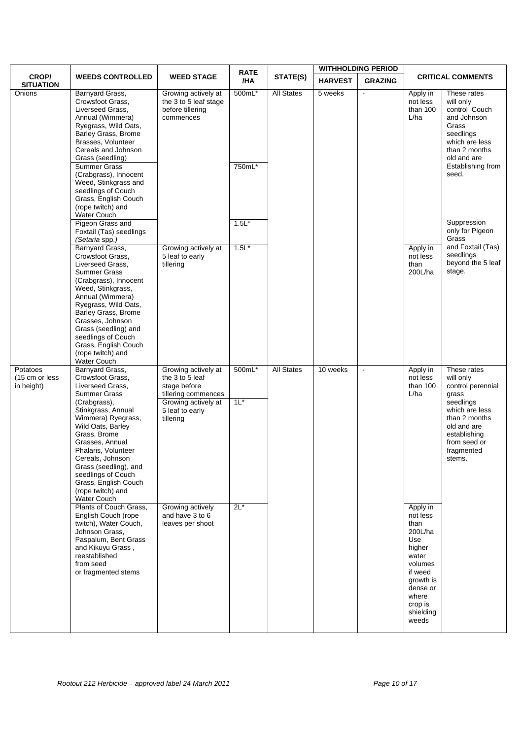|                                          |                                                                                                                                                                                                                                                                                                                                                                 |                                                                                                                                      | <b>RATE</b>      |                   |                | <b>WITHHOLDING PERIOD</b> |                                                                                                                                                            |                                                                                                                                                                               |
|------------------------------------------|-----------------------------------------------------------------------------------------------------------------------------------------------------------------------------------------------------------------------------------------------------------------------------------------------------------------------------------------------------------------|--------------------------------------------------------------------------------------------------------------------------------------|------------------|-------------------|----------------|---------------------------|------------------------------------------------------------------------------------------------------------------------------------------------------------|-------------------------------------------------------------------------------------------------------------------------------------------------------------------------------|
| <b>CROP/</b><br><b>SITUATION</b>         | <b>WEEDS CONTROLLED</b>                                                                                                                                                                                                                                                                                                                                         | <b>WEED STAGE</b>                                                                                                                    | /HA              | STATE(S)          | <b>HARVEST</b> | <b>GRAZING</b>            |                                                                                                                                                            | <b>CRITICAL COMMENTS</b>                                                                                                                                                      |
| Onions                                   | Barnyard Grass,<br>Crowsfoot Grass,<br>Liverseed Grass,<br>Annual (Wimmera)<br>Ryegrass, Wild Oats,<br>Barley Grass, Brome<br>Brasses, Volunteer<br>Cereals and Johnson<br>Grass (seedling)<br><b>Summer Grass</b><br>(Crabgrass), Innocent<br>Weed, Stinkgrass and<br>seedlings of Couch<br>Grass, English Couch<br>(rope twitch) and<br><b>Water Couch</b>    | Growing actively at<br>the 3 to 5 leaf stage<br>before tillering<br>commences                                                        | 500mL*<br>750mL* | <b>All States</b> | 5 weeks        |                           | Apply in<br>not less<br>than $100$<br>L/ha                                                                                                                 | These rates<br>will only<br>control Couch<br>and Johnson<br>Grass<br>seedlings<br>which are less<br>than 2 months<br>old and are<br>Establishing from<br>seed.                |
|                                          | Pigeon Grass and<br>Foxtail (Tas) seedlings                                                                                                                                                                                                                                                                                                                     |                                                                                                                                      | $1.5L*$          |                   |                |                           |                                                                                                                                                            | Suppression<br>only for Pigeon<br>Grass                                                                                                                                       |
|                                          | (Setaria spp.)<br>Barnyard Grass,<br>Crowsfoot Grass.<br>Liverseed Grass,<br><b>Summer Grass</b><br>(Crabgrass), Innocent<br>Weed, Stinkgrass,<br>Annual (Wimmera)<br>Ryegrass, Wild Oats,<br>Barley Grass, Brome<br>Grasses, Johnson<br>Grass (seedling) and<br>seedlings of Couch<br>Grass, English Couch<br>(rope twitch) and<br>Water Couch                 | Growing actively at<br>5 leaf to early<br>tillering                                                                                  | $1.5L*$          |                   |                |                           | Apply in<br>not less<br>than<br>200L/ha                                                                                                                    | and Foxtail (Tas)<br>seedlings<br>beyond the 5 leaf<br>stage.                                                                                                                 |
| Potatoes<br>(15 cm or less<br>in height) | Barnyard Grass,<br>Crowsfoot Grass,<br>Liverseed Grass,<br><b>Summer Grass</b><br>(Crabgrass),<br>Stinkgrass, Annual<br>Wimmera) Ryegrass,<br>Wild Oats, Barley<br>Grass, Brome<br>Grasses, Annual<br>Phalaris, Volunteer<br>Cereals, Johnson<br>Grass (seedling), and<br>seedlings of Couch<br>Grass, English Couch<br>(rope twitch) and<br><b>Water Couch</b> | Growing actively at<br>the 3 to 5 leaf<br>stage before<br>tillering commences<br>Growing actively at<br>5 leaf to early<br>tillering | 500mL*<br>$1L^*$ | <b>All States</b> | 10 weeks       | $\blacksquare$            | Apply in<br>not less<br>than 100<br>L/ha                                                                                                                   | These rates<br>will only<br>control perennial<br>grass<br>seedlings<br>which are less<br>than 2 months<br>old and are<br>establishing<br>from seed or<br>fragmented<br>stems. |
|                                          | Plants of Couch Grass,<br>English Couch (rope<br>twitch), Water Couch,<br>Johnson Grass,<br>Paspalum, Bent Grass<br>and Kikuyu Grass,<br>reestablished<br>from seed<br>or fragmented stems                                                                                                                                                                      | Growing actively<br>and have 3 to 6<br>leaves per shoot                                                                              | $2L^*$           |                   |                |                           | Apply in<br>not less<br>than<br>200L/ha<br>Use<br>higher<br>water<br>volumes<br>if weed<br>growth is<br>dense or<br>where<br>crop is<br>shielding<br>weeds |                                                                                                                                                                               |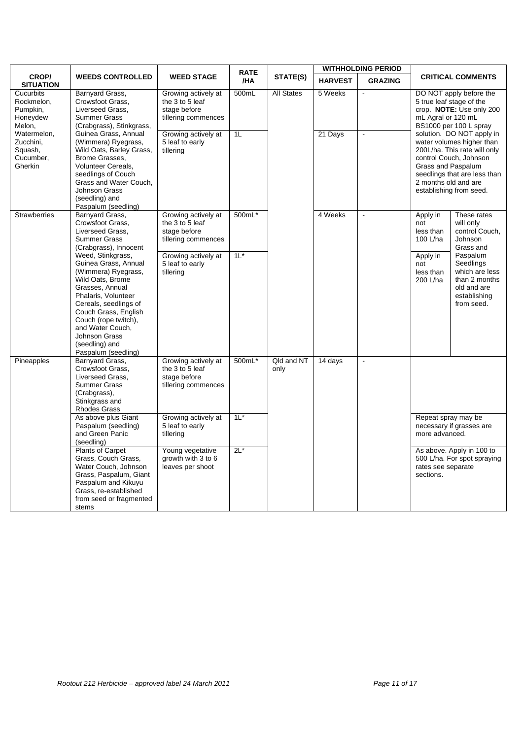|                                                             |                                                                                                                                                                                                                                                                                                                                                                                                  |                                                                                                                                      | <b>RATE</b>      |                    |                | <b>WITHHOLDING PERIOD</b> |                                                                                                                                                                                                                                                                     |  |
|-------------------------------------------------------------|--------------------------------------------------------------------------------------------------------------------------------------------------------------------------------------------------------------------------------------------------------------------------------------------------------------------------------------------------------------------------------------------------|--------------------------------------------------------------------------------------------------------------------------------------|------------------|--------------------|----------------|---------------------------|---------------------------------------------------------------------------------------------------------------------------------------------------------------------------------------------------------------------------------------------------------------------|--|
| <b>CROP/</b><br><b>SITUATION</b>                            | <b>WEEDS CONTROLLED</b>                                                                                                                                                                                                                                                                                                                                                                          | <b>WEED STAGE</b>                                                                                                                    | /HA              | STATE(S)           | <b>HARVEST</b> | <b>GRAZING</b>            | <b>CRITICAL COMMENTS</b>                                                                                                                                                                                                                                            |  |
| Cucurbits<br>Rockmelon,<br>Pumpkin,<br>Honeydew<br>Melon.   | Barnyard Grass,<br>Crowsfoot Grass,<br>Liverseed Grass,<br><b>Summer Grass</b><br>(Crabgrass), Stinkgrass,                                                                                                                                                                                                                                                                                       | Growing actively at<br>the 3 to 5 leaf<br>stage before<br>tillering commences                                                        | 500mL            | <b>All States</b>  | 5 Weeks        | $\blacksquare$            | DO NOT apply before the<br>5 true leaf stage of the<br>crop. NOTE: Use only 200<br>mL Agral or 120 mL<br>BS1000 per 100 L spray                                                                                                                                     |  |
| Watermelon,<br>Zucchini.<br>Squash,<br>Cucumber.<br>Gherkin | Guinea Grass, Annual<br>(Wimmera) Ryegrass,<br>Wild Oats, Barley Grass,<br>Brome Grasses.<br>Volunteer Cereals,<br>seedlings of Couch<br>Grass and Water Couch,<br>Johnson Grass<br>(seedling) and<br>Paspalum (seedling)                                                                                                                                                                        | Growing actively at<br>5 leaf to early<br>tillering                                                                                  | 1L               |                    | 21 Days        | $\overline{a}$            | solution. DO NOT apply in<br>water volumes higher than<br>200L/ha. This rate will only<br>control Couch, Johnson<br>Grass and Paspalum<br>seedlings that are less than<br>2 months old and are<br>establishing from seed.                                           |  |
| <b>Strawberries</b>                                         | Barnyard Grass,<br>Crowsfoot Grass,<br>Liverseed Grass,<br><b>Summer Grass</b><br>(Crabgrass), Innocent<br>Weed, Stinkgrass,<br>Guinea Grass, Annual<br>(Wimmera) Ryegrass,<br>Wild Oats, Brome<br>Grasses, Annual<br>Phalaris, Volunteer<br>Cereals, seedlings of<br>Couch Grass, English<br>Couch (rope twitch),<br>and Water Couch,<br>Johnson Grass<br>(seedling) and<br>Paspalum (seedling) | Growing actively at<br>the 3 to 5 leaf<br>stage before<br>tillering commences<br>Growing actively at<br>5 leaf to early<br>tillering | 500mL*<br>$11^*$ |                    | 4 Weeks        | $\blacksquare$            | These rates<br>Apply in<br>will only<br>not<br>control Couch,<br>less than<br>100 L/ha<br>Johnson<br>Grass and<br>Paspalum<br>Apply in<br>Seedlings<br>not<br>which are less<br>less than<br>than 2 months<br>200 L/ha<br>old and are<br>establishing<br>from seed. |  |
| Pineapples                                                  | Barnyard Grass,<br>Crowsfoot Grass.<br>Liverseed Grass,<br><b>Summer Grass</b><br>(Crabgrass),<br>Stinkgrass and<br><b>Rhodes Grass</b>                                                                                                                                                                                                                                                          | Growing actively at<br>the 3 to 5 leaf<br>stage before<br>tillering commences                                                        | 500mL*           | Qld and NT<br>only | 14 days        | $\omega$                  |                                                                                                                                                                                                                                                                     |  |
|                                                             | As above plus Giant<br>Paspalum (seedling)<br>and Green Panic<br>(seedling)                                                                                                                                                                                                                                                                                                                      | Growing actively at<br>5 leaf to early<br>tillering                                                                                  | $11^*$           |                    |                |                           | Repeat spray may be<br>necessary if grasses are<br>more advanced.                                                                                                                                                                                                   |  |
|                                                             | <b>Plants of Carpet</b><br>Grass, Couch Grass,<br>Water Couch, Johnson<br>Grass, Paspalum, Giant<br>Paspalum and Kikuyu<br>Grass, re-established<br>from seed or fragmented<br>stems                                                                                                                                                                                                             | Young vegetative<br>growth with 3 to 6<br>leaves per shoot                                                                           | $2L^*$           |                    |                |                           | As above. Apply in 100 to<br>500 L/ha. For spot spraying<br>rates see separate<br>sections.                                                                                                                                                                         |  |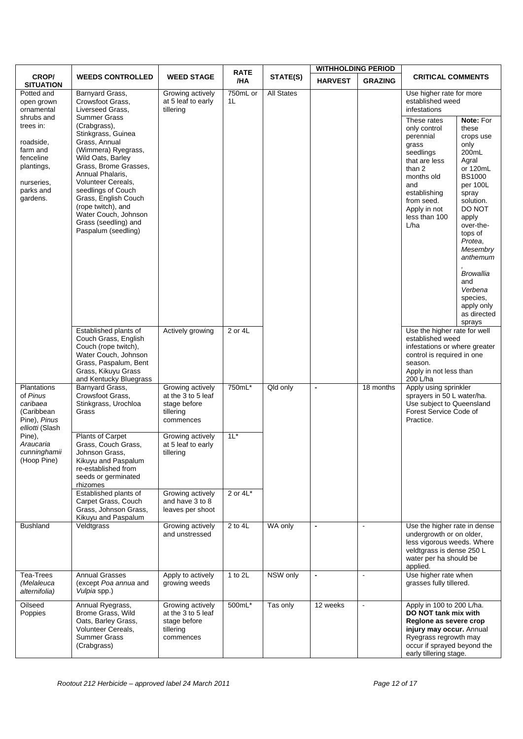|                                                                                                                                                              |                                                                                                                                                                                                                                                                                                                                                                                          |                                                                                  | <b>RATE</b>          |                   | <b>WITHHOLDING PERIOD</b> |                |                                                                                                                                                                                                                                                       |                                                                                                                                                                                                                                                                                       |
|--------------------------------------------------------------------------------------------------------------------------------------------------------------|------------------------------------------------------------------------------------------------------------------------------------------------------------------------------------------------------------------------------------------------------------------------------------------------------------------------------------------------------------------------------------------|----------------------------------------------------------------------------------|----------------------|-------------------|---------------------------|----------------|-------------------------------------------------------------------------------------------------------------------------------------------------------------------------------------------------------------------------------------------------------|---------------------------------------------------------------------------------------------------------------------------------------------------------------------------------------------------------------------------------------------------------------------------------------|
| CROP/<br><b>SITUATION</b>                                                                                                                                    | <b>WEEDS CONTROLLED</b>                                                                                                                                                                                                                                                                                                                                                                  | <b>WEED STAGE</b>                                                                | /HA                  | STATE(S)          | <b>HARVEST</b>            | <b>GRAZING</b> | <b>CRITICAL COMMENTS</b>                                                                                                                                                                                                                              |                                                                                                                                                                                                                                                                                       |
| Potted and<br>open grown<br>ornamental<br>shrubs and<br>trees in:<br>roadside,<br>farm and<br>fenceline<br>plantings,<br>nurseries,<br>parks and<br>gardens. | Barnyard Grass,<br>Crowsfoot Grass,<br>Liverseed Grass,<br>Summer Grass<br>(Crabgrass),<br>Stinkgrass, Guinea<br>Grass, Annual<br>(Wimmera) Ryegrass,<br>Wild Oats, Barley<br>Grass, Brome Grasses,<br>Annual Phalaris,<br>Volunteer Cereals,<br>seedlings of Couch<br>Grass, English Couch<br>(rope twitch), and<br>Water Couch, Johnson<br>Grass (seedling) and<br>Paspalum (seedling) | Growing actively<br>at 5 leaf to early<br>tillering                              | 750mL or<br>1L       | <b>All States</b> |                           |                | Use higher rate for more<br>established weed<br>infestations<br>These rates<br>only control<br>perennial<br>grass<br>seedlings<br>that are less<br>than 2<br>months old<br>and<br>establishing<br>from seed.<br>Apply in not<br>less than 100<br>L/ha | Note: For<br>these<br>crops use<br>only<br>200mL<br>Agral<br>or 120mL<br><b>BS1000</b><br>per 100L<br>spray<br>solution.<br>DO NOT<br>apply<br>over-the-<br>tops of<br>Protea,<br>Mesembry<br>anthemum<br><b>Browallia</b><br>and<br>Verbena<br>species.<br>apply only<br>as directed |
|                                                                                                                                                              | Established plants of<br>Couch Grass, English<br>Couch (rope twitch),<br>Water Couch, Johnson<br>Grass, Paspalum, Bent<br>Grass, Kikuyu Grass<br>and Kentucky Bluegrass                                                                                                                                                                                                                  | Actively growing                                                                 | 2 or 4L              |                   |                           |                | Use the higher rate for well<br>established weed<br>infestations or where greater<br>control is required in one<br>season.<br>Apply in not less than<br>200 L/ha                                                                                      | sprays                                                                                                                                                                                                                                                                                |
| Plantations<br>of Pinus<br>caribaea<br>(Caribbean<br>Pine), Pinus<br>elliotti (Slash                                                                         | Barnyard Grass,<br>Crowsfoot Grass,<br>Stinkgrass, Urochloa<br>Grass                                                                                                                                                                                                                                                                                                                     | Growing actively<br>at the 3 to 5 leaf<br>stage before<br>tillering<br>commences | 750mL*               | Qld only          | $\blacksquare$            | 18 months      | Apply using sprinkler<br>sprayers in 50 L water/ha.<br>Use subject to Queensland<br>Forest Service Code of<br>Practice.                                                                                                                               |                                                                                                                                                                                                                                                                                       |
| Pine),<br>Araucaria<br>cunninghamii<br>(Hoop Pine)                                                                                                           | <b>Plants of Carpet</b><br>Grass, Couch Grass,<br>Johnson Grass,<br>Kikuyu and Paspalum<br>re-established from<br>seeds or germinated<br>rhizomes                                                                                                                                                                                                                                        | Growing actively<br>at 5 leaf to early<br>tillering                              | $11*$<br>2 or $4L^*$ |                   |                           |                |                                                                                                                                                                                                                                                       |                                                                                                                                                                                                                                                                                       |
|                                                                                                                                                              | Established plants of<br>Carpet Grass, Couch<br>Grass, Johnson Grass,<br>Kikuyu and Paspalum                                                                                                                                                                                                                                                                                             | Growing actively<br>and have 3 to 8<br>leaves per shoot                          |                      |                   |                           |                |                                                                                                                                                                                                                                                       |                                                                                                                                                                                                                                                                                       |
| <b>Bushland</b>                                                                                                                                              | Veldtgrass                                                                                                                                                                                                                                                                                                                                                                               | Growing actively<br>and unstressed                                               | 2 to 4L              | WA only           | $\blacksquare$            | $\blacksquare$ | Use the higher rate in dense<br>undergrowth or on older,<br>less vigorous weeds. Where<br>veldtgrass is dense 250 L<br>water per ha should be<br>applied.                                                                                             |                                                                                                                                                                                                                                                                                       |
| Tea-Trees<br>(Melaleuca<br>alternifolia)                                                                                                                     | <b>Annual Grasses</b><br>(except Poa annua and<br>Vulpia spp.)                                                                                                                                                                                                                                                                                                                           | Apply to actively<br>growing weeds                                               | 1 to 2L              | NSW only          | $\blacksquare$            | $\blacksquare$ | Use higher rate when<br>grasses fully tillered.                                                                                                                                                                                                       |                                                                                                                                                                                                                                                                                       |
| Oilseed<br>Poppies                                                                                                                                           | Annual Ryegrass,<br>Brome Grass, Wild<br>Oats, Barley Grass,<br>Volunteer Cereals,<br><b>Summer Grass</b><br>(Crabgrass)                                                                                                                                                                                                                                                                 | Growing actively<br>at the 3 to 5 leaf<br>stage before<br>tillering<br>commences | 500mL*               | Tas only          | 12 weeks                  | $\blacksquare$ | Apply in 100 to 200 L/ha.<br>DO NOT tank mix with<br>Regione as severe crop<br>injury may occur. Annual<br>Ryegrass regrowth may<br>occur if sprayed beyond the<br>early tillering stage.                                                             |                                                                                                                                                                                                                                                                                       |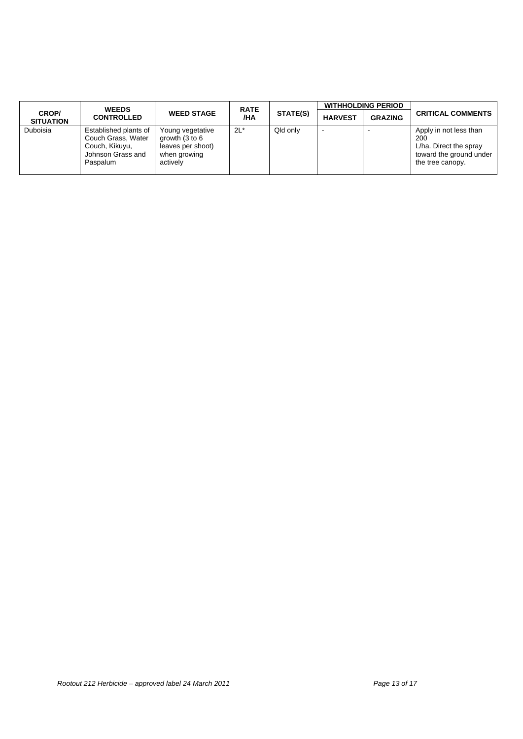|                           | <b>WEEDS</b>                                                                                   |                                                                                                 | <b>RATE</b> |                 |                | <b>WITHHOLDING PERIOD</b> |                                                                                                        |
|---------------------------|------------------------------------------------------------------------------------------------|-------------------------------------------------------------------------------------------------|-------------|-----------------|----------------|---------------------------|--------------------------------------------------------------------------------------------------------|
| CROP/<br><b>SITUATION</b> | <b>CONTROLLED</b>                                                                              | <b>WEED STAGE</b>                                                                               | /HA         | <b>STATE(S)</b> | <b>HARVEST</b> | <b>GRAZING</b>            | <b>CRITICAL COMMENTS</b>                                                                               |
| Duboisia                  | Established plants of<br>Couch Grass, Water<br>Couch, Kikuyu,<br>Johnson Grass and<br>Paspalum | Young vegetative<br>growth $(3 \text{ to } 6)$<br>leaves per shoot)<br>when growing<br>actively | $2L^*$      | Qld only        |                |                           | Apply in not less than<br>200<br>L/ha. Direct the spray<br>toward the ground under<br>the tree canopy. |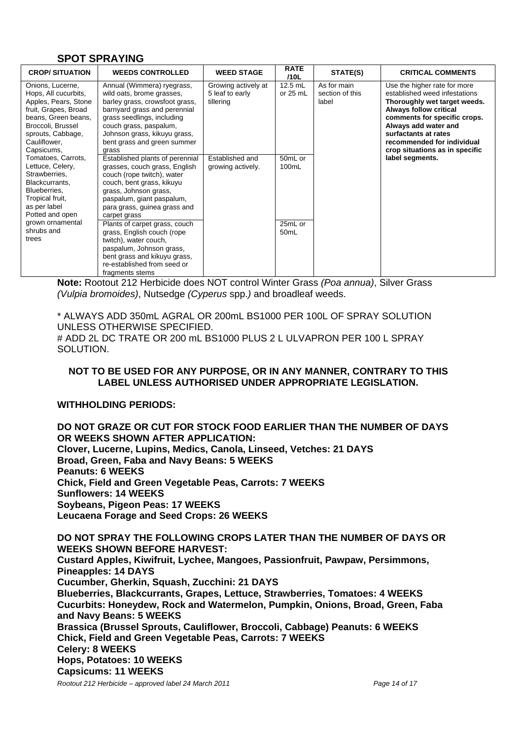#### **SPOT SPRAYING**

| <b>CROP/SITUATION</b>                                                                                                                                                                   | <b>WEEDS CONTROLLED</b>                                                                                                                                                                                                                                   | <b>WEED STAGE</b>                                   | <b>RATE</b><br>/10L         | STATE(S)                                | <b>CRITICAL COMMENTS</b>                                                                                                                                                                                                                                                       |
|-----------------------------------------------------------------------------------------------------------------------------------------------------------------------------------------|-----------------------------------------------------------------------------------------------------------------------------------------------------------------------------------------------------------------------------------------------------------|-----------------------------------------------------|-----------------------------|-----------------------------------------|--------------------------------------------------------------------------------------------------------------------------------------------------------------------------------------------------------------------------------------------------------------------------------|
| Onions, Lucerne,<br>Hops, All cucurbits,<br>Apples, Pears, Stone<br>fruit, Grapes, Broad<br>beans, Green beans,<br>Broccoli, Brussel<br>sprouts, Cabbage,<br>Cauliflower,<br>Capsicums, | Annual (Wimmera) ryegrass,<br>wild oats, brome grasses,<br>barley grass, crowsfoot grass,<br>barnyard grass and perennial<br>grass seedlings, including<br>couch grass, paspalum,<br>Johnson grass, kikuyu grass,<br>bent grass and green summer<br>grass | Growing actively at<br>5 leaf to early<br>tillering | $12.5$ mL<br>or $25$ mL     | As for main<br>section of this<br>label | Use the higher rate for more<br>established weed infestations<br>Thoroughly wet target weeds.<br><b>Always follow critical</b><br>comments for specific crops.<br>Always add water and<br>surfactants at rates<br>recommended for individual<br>crop situations as in specific |
| Tomatoes, Carrots,<br>Lettuce, Celery,<br>Strawberries,<br>Blackcurrants,<br>Blueberries,<br>Tropical fruit,<br>as per label<br>Potted and open                                         | Established plants of perennial<br>grasses, couch grass, English<br>couch (rope twitch), water<br>couch, bent grass, kikuyu<br>grass, Johnson grass,<br>paspalum, giant paspalum,<br>para grass, guinea grass and<br>carpet grass                         | Established and<br>growing actively.                | 50mL or<br>100mL            |                                         | label segments.                                                                                                                                                                                                                                                                |
| grown ornamental<br>shrubs and<br>trees                                                                                                                                                 | Plants of carpet grass, couch<br>grass, English couch (rope<br>twitch), water couch,<br>paspalum, Johnson grass,<br>bent grass and kikuyu grass,<br>re-established from seed or<br>fragments stems                                                        |                                                     | 25mL or<br>50 <sub>mL</sub> |                                         |                                                                                                                                                                                                                                                                                |

**Note:** Rootout 212 Herbicide does NOT control Winter Grass *(Poa annua)*, Silver Grass *(Vulpia bromoides)*, Nutsedge *(Cyperus* spp.*)* and broadleaf weeds.

\* ALWAYS ADD 350mL AGRAL OR 200mL BS1000 PER 100L OF SPRAY SOLUTION UNLESS OTHERWISE SPECIFIED.

# ADD 2L DC TRATE OR 200 mL BS1000 PLUS 2 L ULVAPRON PER 100 L SPRAY SOLUTION.

#### **NOT TO BE USED FOR ANY PURPOSE, OR IN ANY MANNER, CONTRARY TO THIS LABEL UNLESS AUTHORISED UNDER APPROPRIATE LEGISLATION.**

#### WITHHOLDING PERIODS<sup>.</sup>

**DO NOT GRAZE OR CUT FOR STOCK FOOD EARLIER THAN THE NUMBER OF DAYS OR WEEKS SHOWN AFTER APPLICATION: Clover, Lucerne, Lupins, Medics, Canola, Linseed, Vetches: 21 DAYS Broad, Green, Faba and Navy Beans: 5 WEEKS Peanuts: 6 WEEKS Chick, Field and Green Vegetable Peas, Carrots: 7 WEEKS Sunflowers: 14 WEEKS Soybeans, Pigeon Peas: 17 WEEKS Leucaena Forage and Seed Crops: 26 WEEKS** 

**DO NOT SPRAY THE FOLLOWING CROPS LATER THAN THE NUMBER OF DAYS OR WEEKS SHOWN BEFORE HARVEST: Custard Apples, Kiwifruit, Lychee, Mangoes, Passionfruit, Pawpaw, Persimmons, Pineapples: 14 DAYS Cucumber, Gherkin, Squash, Zucchini: 21 DAYS Blueberries, Blackcurrants, Grapes, Lettuce, Strawberries, Tomatoes: 4 WEEKS Cucurbits: Honeydew, Rock and Watermelon, Pumpkin, Onions, Broad, Green, Faba and Navy Beans: 5 WEEKS Brassica (Brussel Sprouts, Cauliflower, Broccoli, Cabbage) Peanuts: 6 WEEKS Chick, Field and Green Vegetable Peas, Carrots: 7 WEEKS Celery: 8 WEEKS Hops, Potatoes: 10 WEEKS Capsicums: 11 WEEKS** 

*Rootout 212 Herbicide – approved label 24 March 2011 Page 14 of 17*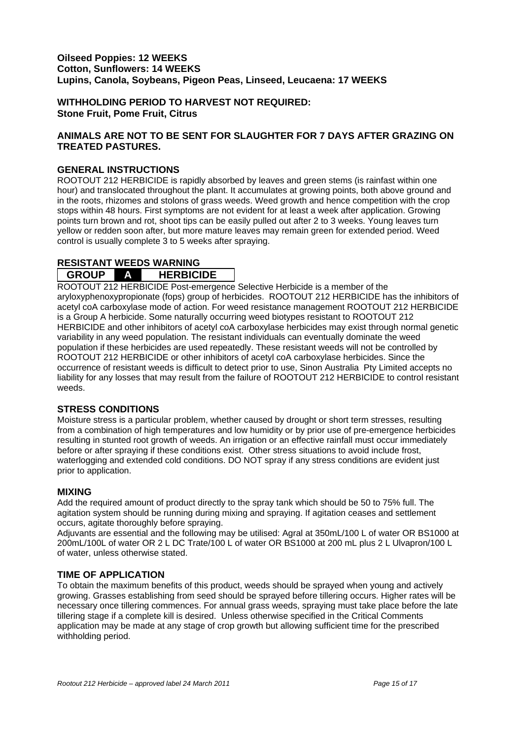#### **Oilseed Poppies: 12 WEEKS Cotton, Sunflowers: 14 WEEKS Lupins, Canola, Soybeans, Pigeon Peas, Linseed, Leucaena: 17 WEEKS**

**WITHHOLDING PERIOD TO HARVEST NOT REQUIRED: Stone Fruit, Pome Fruit, Citrus** 

#### **ANIMALS ARE NOT TO BE SENT FOR SLAUGHTER FOR 7 DAYS AFTER GRAZING ON TREATED PASTURES.**

#### **GENERAL INSTRUCTIONS**

ROOTOUT 212 HERBICIDE is rapidly absorbed by leaves and green stems (is rainfast within one hour) and translocated throughout the plant. It accumulates at growing points, both above ground and in the roots, rhizomes and stolons of grass weeds. Weed growth and hence competition with the crop stops within 48 hours. First symptoms are not evident for at least a week after application. Growing points turn brown and rot, shoot tips can be easily pulled out after 2 to 3 weeks. Young leaves turn yellow or redden soon after, but more mature leaves may remain green for extended period. Weed control is usually complete 3 to 5 weeks after spraying.

#### **RESISTANT WEEDS WARNING GROUP A HERBICIDE**

ROOTOUT 212 HERBICIDE Post-emergence Selective Herbicide is a member of the aryloxyphenoxypropionate (fops) group of herbicides. ROOTOUT 212 HERBICIDE has the inhibitors of acetyl coA carboxylase mode of action. For weed resistance management ROOTOUT 212 HERBICIDE is a Group A herbicide. Some naturally occurring weed biotypes resistant to ROOTOUT 212 HERBICIDE and other inhibitors of acetyl coA carboxylase herbicides may exist through normal genetic variability in any weed population. The resistant individuals can eventually dominate the weed population if these herbicides are used repeatedly. These resistant weeds will not be controlled by ROOTOUT 212 HERBICIDE or other inhibitors of acetyl coA carboxylase herbicides. Since the occurrence of resistant weeds is difficult to detect prior to use, Sinon Australia Pty Limited accepts no liability for any losses that may result from the failure of ROOTOUT 212 HERBICIDE to control resistant weeds.

#### **STRESS CONDITIONS**

Moisture stress is a particular problem, whether caused by drought or short term stresses, resulting from a combination of high temperatures and low humidity or by prior use of pre-emergence herbicides resulting in stunted root growth of weeds. An irrigation or an effective rainfall must occur immediately before or after spraying if these conditions exist. Other stress situations to avoid include frost, waterlogging and extended cold conditions. DO NOT spray if any stress conditions are evident just prior to application.

#### **MIXING**

Add the required amount of product directly to the spray tank which should be 50 to 75% full. The agitation system should be running during mixing and spraying. If agitation ceases and settlement occurs, agitate thoroughly before spraying.

Adjuvants are essential and the following may be utilised: Agral at 350mL/100 L of water OR BS1000 at 200mL/100L of water OR 2 L DC Trate/100 L of water OR BS1000 at 200 mL plus 2 L Ulvapron/100 L of water, unless otherwise stated.

#### **TIME OF APPLICATION**

To obtain the maximum benefits of this product, weeds should be sprayed when young and actively growing. Grasses establishing from seed should be sprayed before tillering occurs. Higher rates will be necessary once tillering commences. For annual grass weeds, spraying must take place before the late tillering stage if a complete kill is desired. Unless otherwise specified in the Critical Comments application may be made at any stage of crop growth but allowing sufficient time for the prescribed withholding period.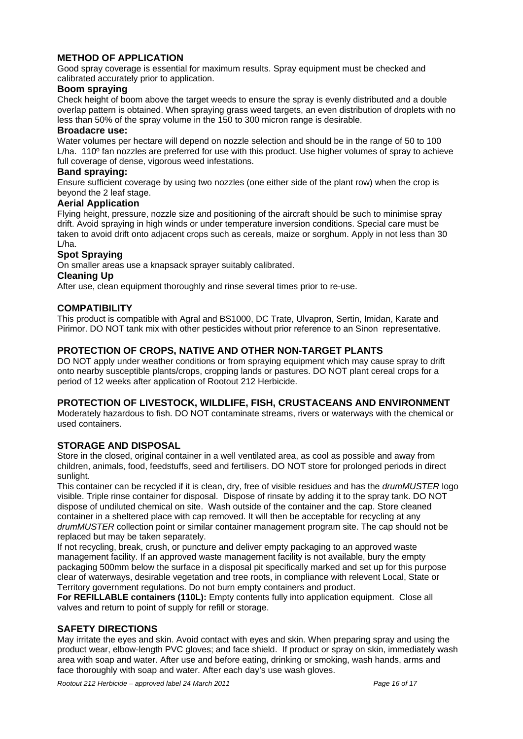#### **METHOD OF APPLICATION**

Good spray coverage is essential for maximum results. Spray equipment must be checked and calibrated accurately prior to application.

#### **Boom spraying**

Check height of boom above the target weeds to ensure the spray is evenly distributed and a double overlap pattern is obtained. When spraying grass weed targets, an even distribution of droplets with no less than 50% of the spray volume in the 150 to 300 micron range is desirable.

#### **Broadacre use:**

Water volumes per hectare will depend on nozzle selection and should be in the range of 50 to 100 L/ha. 110<sup>°</sup> fan nozzles are preferred for use with this product. Use higher volumes of spray to achieve full coverage of dense, vigorous weed infestations.

#### **Band spraying:**

Ensure sufficient coverage by using two nozzles (one either side of the plant row) when the crop is beyond the 2 leaf stage.

#### **Aerial Application**

Flying height, pressure, nozzle size and positioning of the aircraft should be such to minimise spray drift. Avoid spraying in high winds or under temperature inversion conditions. Special care must be taken to avoid drift onto adjacent crops such as cereals, maize or sorghum. Apply in not less than 30 L/ha.

#### **Spot Spraying**

On smaller areas use a knapsack sprayer suitably calibrated.

#### **Cleaning Up**

After use, clean equipment thoroughly and rinse several times prior to re-use.

#### **COMPATIBILITY**

This product is compatible with Agral and BS1000, DC Trate, Ulvapron, Sertin, Imidan, Karate and Pirimor. DO NOT tank mix with other pesticides without prior reference to an Sinon representative.

#### **PROTECTION OF CROPS, NATIVE AND OTHER NON-TARGET PLANTS**

DO NOT apply under weather conditions or from spraying equipment which may cause spray to drift onto nearby susceptible plants/crops, cropping lands or pastures. DO NOT plant cereal crops for a period of 12 weeks after application of Rootout 212 Herbicide.

#### **PROTECTION OF LIVESTOCK, WILDLIFE, FISH, CRUSTACEANS AND ENVIRONMENT**

Moderately hazardous to fish. DO NOT contaminate streams, rivers or waterways with the chemical or used containers.

#### **STORAGE AND DISPOSAL**

Store in the closed, original container in a well ventilated area, as cool as possible and away from children, animals, food, feedstuffs, seed and fertilisers. DO NOT store for prolonged periods in direct sunlight.

This container can be recycled if it is clean, dry, free of visible residues and has the *drumMUSTER* logo visible. Triple rinse container for disposal. Dispose of rinsate by adding it to the spray tank. DO NOT dispose of undiluted chemical on site. Wash outside of the container and the cap. Store cleaned container in a sheltered place with cap removed. It will then be acceptable for recycling at any *drumMUSTER* collection point or similar container management program site. The cap should not be replaced but may be taken separately.

If not recycling, break, crush, or puncture and deliver empty packaging to an approved waste management facility. If an approved waste management facility is not available, bury the empty packaging 500mm below the surface in a disposal pit specifically marked and set up for this purpose clear of waterways, desirable vegetation and tree roots, in compliance with relevent Local, State or Territory government regulations. Do not burn empty containers and product.

**For REFILLABLE containers (110L):** Empty contents fully into application equipment. Close all valves and return to point of supply for refill or storage.

#### **SAFETY DIRECTIONS**

May irritate the eyes and skin. Avoid contact with eyes and skin. When preparing spray and using the product wear, elbow-length PVC gloves; and face shield. If product or spray on skin, immediately wash area with soap and water. After use and before eating, drinking or smoking, wash hands, arms and face thoroughly with soap and water. After each day's use wash gloves.

*Rootout 212 Herbicide – approved label 24 March 2011 Page 16 of 17*